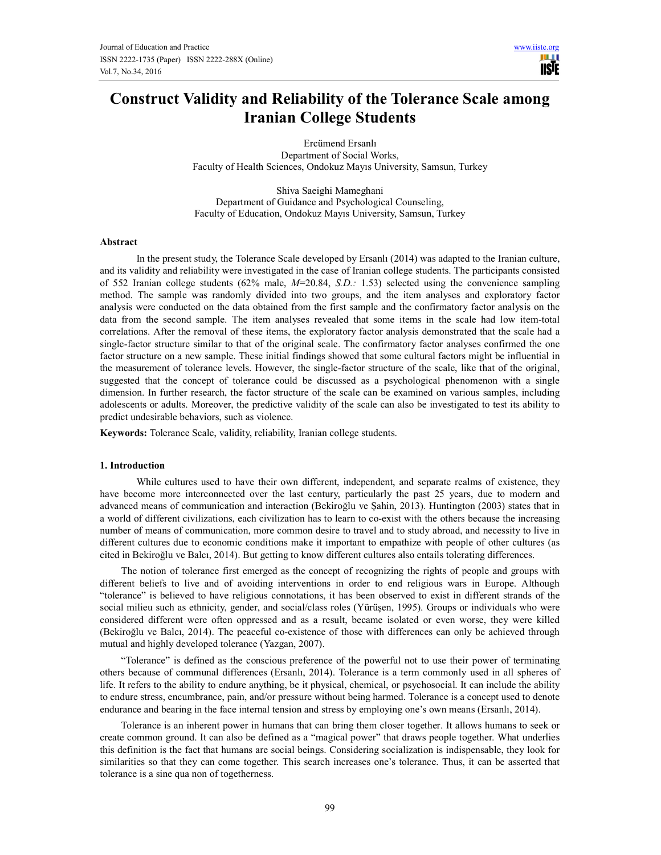HH I **USIE** 

# Construct Validity and Reliability of the Tolerance Scale among Iranian College Students

Ercümend Ersanlı Department of Social Works, Faculty of Health Sciences, Ondokuz Mayıs University, Samsun, Turkey

Shiva Saeighi Mameghani Department of Guidance and Psychological Counseling, Faculty of Education, Ondokuz Mayıs University, Samsun, Turkey

## Abstract

 In the present study, the Tolerance Scale developed by Ersanlı (2014) was adapted to the Iranian culture, and its validity and reliability were investigated in the case of Iranian college students. The participants consisted of 552 Iranian college students (62% male,  $M=20.84$ , S.D.: 1.53) selected using the convenience sampling method. The sample was randomly divided into two groups, and the item analyses and exploratory factor analysis were conducted on the data obtained from the first sample and the confirmatory factor analysis on the data from the second sample. The item analyses revealed that some items in the scale had low item-total correlations. After the removal of these items, the exploratory factor analysis demonstrated that the scale had a single-factor structure similar to that of the original scale. The confirmatory factor analyses confirmed the one factor structure on a new sample. These initial findings showed that some cultural factors might be influential in the measurement of tolerance levels. However, the single-factor structure of the scale, like that of the original, suggested that the concept of tolerance could be discussed as a psychological phenomenon with a single dimension. In further research, the factor structure of the scale can be examined on various samples, including adolescents or adults. Moreover, the predictive validity of the scale can also be investigated to test its ability to predict undesirable behaviors, such as violence.

Keywords: Tolerance Scale, validity, reliability, Iranian college students.

#### 1. Introduction

 While cultures used to have their own different, independent, and separate realms of existence, they have become more interconnected over the last century, particularly the past 25 years, due to modern and advanced means of communication and interaction (Bekiroğlu ve Şahin, 2013). Huntington (2003) states that in a world of different civilizations, each civilization has to learn to co-exist with the others because the increasing number of means of communication, more common desire to travel and to study abroad, and necessity to live in different cultures due to economic conditions make it important to empathize with people of other cultures (as cited in Bekiroğlu ve Balcı, 2014). But getting to know different cultures also entails tolerating differences.

The notion of tolerance first emerged as the concept of recognizing the rights of people and groups with different beliefs to live and of avoiding interventions in order to end religious wars in Europe. Although "tolerance" is believed to have religious connotations, it has been observed to exist in different strands of the social milieu such as ethnicity, gender, and social/class roles (Yürüşen, 1995). Groups or individuals who were considered different were often oppressed and as a result, became isolated or even worse, they were killed (Bekiroğlu ve Balcı, 2014). The peaceful co-existence of those with differences can only be achieved through mutual and highly developed tolerance (Yazgan, 2007).

"Tolerance" is defined as the conscious preference of the powerful not to use their power of terminating others because of communal differences (Ersanlı, 2014). Tolerance is a term commonly used in all spheres of life. It refers to the ability to endure anything, be it physical, chemical, or psychosocial. It can include the ability to endure stress, encumbrance, pain, and/or pressure without being harmed. Tolerance is a concept used to denote endurance and bearing in the face internal tension and stress by employing one's own means (Ersanlı, 2014).

Tolerance is an inherent power in humans that can bring them closer together. It allows humans to seek or create common ground. It can also be defined as a "magical power" that draws people together. What underlies this definition is the fact that humans are social beings. Considering socialization is indispensable, they look for similarities so that they can come together. This search increases one's tolerance. Thus, it can be asserted that tolerance is a sine qua non of togetherness.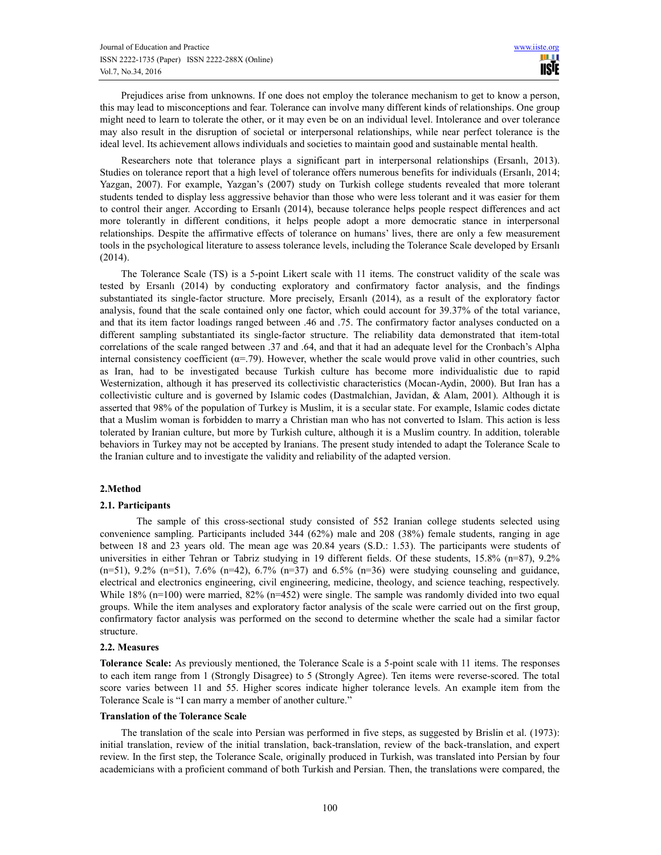Prejudices arise from unknowns. If one does not employ the tolerance mechanism to get to know a person, this may lead to misconceptions and fear. Tolerance can involve many different kinds of relationships. One group might need to learn to tolerate the other, or it may even be on an individual level. Intolerance and over tolerance may also result in the disruption of societal or interpersonal relationships, while near perfect tolerance is the ideal level. Its achievement allows individuals and societies to maintain good and sustainable mental health.

Researchers note that tolerance plays a significant part in interpersonal relationships (Ersanlı, 2013). Studies on tolerance report that a high level of tolerance offers numerous benefits for individuals (Ersanlı, 2014; Yazgan, 2007). For example, Yazgan's (2007) study on Turkish college students revealed that more tolerant students tended to display less aggressive behavior than those who were less tolerant and it was easier for them to control their anger. According to Ersanlı (2014), because tolerance helps people respect differences and act more tolerantly in different conditions, it helps people adopt a more democratic stance in interpersonal relationships. Despite the affirmative effects of tolerance on humans' lives, there are only a few measurement tools in the psychological literature to assess tolerance levels, including the Tolerance Scale developed by Ersanlı (2014).

The Tolerance Scale (TS) is a 5-point Likert scale with 11 items. The construct validity of the scale was tested by Ersanlı (2014) by conducting exploratory and confirmatory factor analysis, and the findings substantiated its single-factor structure. More precisely, Ersanlı (2014), as a result of the exploratory factor analysis, found that the scale contained only one factor, which could account for 39.37% of the total variance, and that its item factor loadings ranged between .46 and .75. The confirmatory factor analyses conducted on a different sampling substantiated its single-factor structure. The reliability data demonstrated that item-total correlations of the scale ranged between .37 and .64, and that it had an adequate level for the Cronbach's Alpha internal consistency coefficient ( $\alpha$ =.79). However, whether the scale would prove valid in other countries, such as Iran, had to be investigated because Turkish culture has become more individualistic due to rapid Westernization, although it has preserved its collectivistic characteristics (Mocan-Aydin, 2000). But Iran has a collectivistic culture and is governed by Islamic codes (Dastmalchian, Javidan, & Alam, 2001). Although it is asserted that 98% of the population of Turkey is Muslim, it is a secular state. For example, Islamic codes dictate that a Muslim woman is forbidden to marry a Christian man who has not converted to Islam. This action is less tolerated by Iranian culture, but more by Turkish culture, although it is a Muslim country. In addition, tolerable behaviors in Turkey may not be accepted by Iranians. The present study intended to adapt the Tolerance Scale to the Iranian culture and to investigate the validity and reliability of the adapted version.

## 2.Method

#### 2.1. Participants

 The sample of this cross-sectional study consisted of 552 Iranian college students selected using convenience sampling. Participants included 344 (62%) male and 208 (38%) female students, ranging in age between 18 and 23 years old. The mean age was 20.84 years (S.D.: 1.53). The participants were students of universities in either Tehran or Tabriz studying in 19 different fields. Of these students, 15.8% (n=87), 9.2%  $(n=51)$ , 9.2%  $(n=51)$ , 7.6%  $(n=42)$ , 6.7%  $(n=37)$  and 6.5%  $(n=36)$  were studying counseling and guidance, electrical and electronics engineering, civil engineering, medicine, theology, and science teaching, respectively. While 18% (n=100) were married, 82% (n=452) were single. The sample was randomly divided into two equal groups. While the item analyses and exploratory factor analysis of the scale were carried out on the first group, confirmatory factor analysis was performed on the second to determine whether the scale had a similar factor structure.

## 2.2. Measures

Tolerance Scale: As previously mentioned, the Tolerance Scale is a 5-point scale with 11 items. The responses to each item range from 1 (Strongly Disagree) to 5 (Strongly Agree). Ten items were reverse-scored. The total score varies between 11 and 55. Higher scores indicate higher tolerance levels. An example item from the Tolerance Scale is "I can marry a member of another culture."

#### Translation of the Tolerance Scale

The translation of the scale into Persian was performed in five steps, as suggested by Brislin et al. (1973): initial translation, review of the initial translation, back-translation, review of the back-translation, and expert review. In the first step, the Tolerance Scale, originally produced in Turkish, was translated into Persian by four academicians with a proficient command of both Turkish and Persian. Then, the translations were compared, the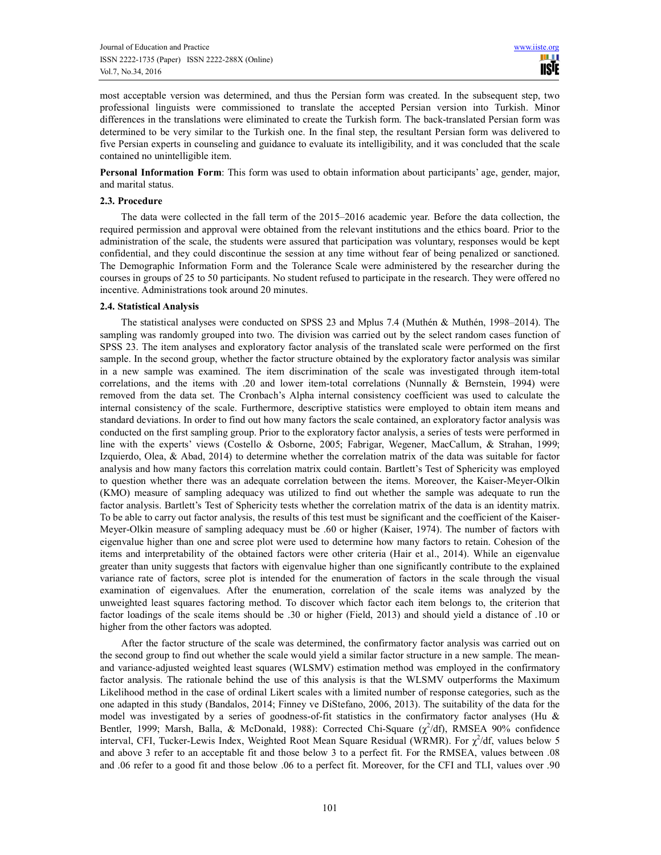most acceptable version was determined, and thus the Persian form was created. In the subsequent step, two professional linguists were commissioned to translate the accepted Persian version into Turkish. Minor differences in the translations were eliminated to create the Turkish form. The back-translated Persian form was determined to be very similar to the Turkish one. In the final step, the resultant Persian form was delivered to five Persian experts in counseling and guidance to evaluate its intelligibility, and it was concluded that the scale contained no unintelligible item.

Personal Information Form: This form was used to obtain information about participants' age, gender, major, and marital status.

## 2.3. Procedure

The data were collected in the fall term of the 2015–2016 academic year. Before the data collection, the required permission and approval were obtained from the relevant institutions and the ethics board. Prior to the administration of the scale, the students were assured that participation was voluntary, responses would be kept confidential, and they could discontinue the session at any time without fear of being penalized or sanctioned. The Demographic Information Form and the Tolerance Scale were administered by the researcher during the courses in groups of 25 to 50 participants. No student refused to participate in the research. They were offered no incentive. Administrations took around 20 minutes.

#### 2.4. Statistical Analysis

The statistical analyses were conducted on SPSS 23 and Mplus 7.4 (Muthén & Muthén, 1998–2014). The sampling was randomly grouped into two. The division was carried out by the select random cases function of SPSS 23. The item analyses and exploratory factor analysis of the translated scale were performed on the first sample. In the second group, whether the factor structure obtained by the exploratory factor analysis was similar in a new sample was examined. The item discrimination of the scale was investigated through item-total correlations, and the items with .20 and lower item-total correlations (Nunnally & Bernstein, 1994) were removed from the data set. The Cronbach's Alpha internal consistency coefficient was used to calculate the internal consistency of the scale. Furthermore, descriptive statistics were employed to obtain item means and standard deviations. In order to find out how many factors the scale contained, an exploratory factor analysis was conducted on the first sampling group. Prior to the exploratory factor analysis, a series of tests were performed in line with the experts' views (Costello & Osborne, 2005; Fabrigar, Wegener, MacCallum, & Strahan, 1999; Izquierdo, Olea, & Abad, 2014) to determine whether the correlation matrix of the data was suitable for factor analysis and how many factors this correlation matrix could contain. Bartlett's Test of Sphericity was employed to question whether there was an adequate correlation between the items. Moreover, the Kaiser-Meyer-Olkin (KMO) measure of sampling adequacy was utilized to find out whether the sample was adequate to run the factor analysis. Bartlett's Test of Sphericity tests whether the correlation matrix of the data is an identity matrix. To be able to carry out factor analysis, the results of this test must be significant and the coefficient of the Kaiser-Meyer-Olkin measure of sampling adequacy must be .60 or higher (Kaiser, 1974). The number of factors with eigenvalue higher than one and scree plot were used to determine how many factors to retain. Cohesion of the items and interpretability of the obtained factors were other criteria (Hair et al., 2014). While an eigenvalue greater than unity suggests that factors with eigenvalue higher than one significantly contribute to the explained variance rate of factors, scree plot is intended for the enumeration of factors in the scale through the visual examination of eigenvalues. After the enumeration, correlation of the scale items was analyzed by the unweighted least squares factoring method. To discover which factor each item belongs to, the criterion that factor loadings of the scale items should be .30 or higher (Field, 2013) and should yield a distance of .10 or higher from the other factors was adopted.

After the factor structure of the scale was determined, the confirmatory factor analysis was carried out on the second group to find out whether the scale would yield a similar factor structure in a new sample. The meanand variance-adjusted weighted least squares (WLSMV) estimation method was employed in the confirmatory factor analysis. The rationale behind the use of this analysis is that the WLSMV outperforms the Maximum Likelihood method in the case of ordinal Likert scales with a limited number of response categories, such as the one adapted in this study (Bandalos, 2014; Finney ve DiStefano, 2006, 2013). The suitability of the data for the model was investigated by a series of goodness-of-fit statistics in the confirmatory factor analyses (Hu & Bentler, 1999; Marsh, Balla, & McDonald, 1988): Corrected Chi-Square ( $\chi^2$ /df), RMSEA 90% confidence interval, CFI, Tucker-Lewis Index, Weighted Root Mean Square Residual (WRMR). For  $\chi^2/df$ , values below 5 and above 3 refer to an acceptable fit and those below 3 to a perfect fit. For the RMSEA, values between .08 and .06 refer to a good fit and those below .06 to a perfect fit. Moreover, for the CFI and TLI, values over .90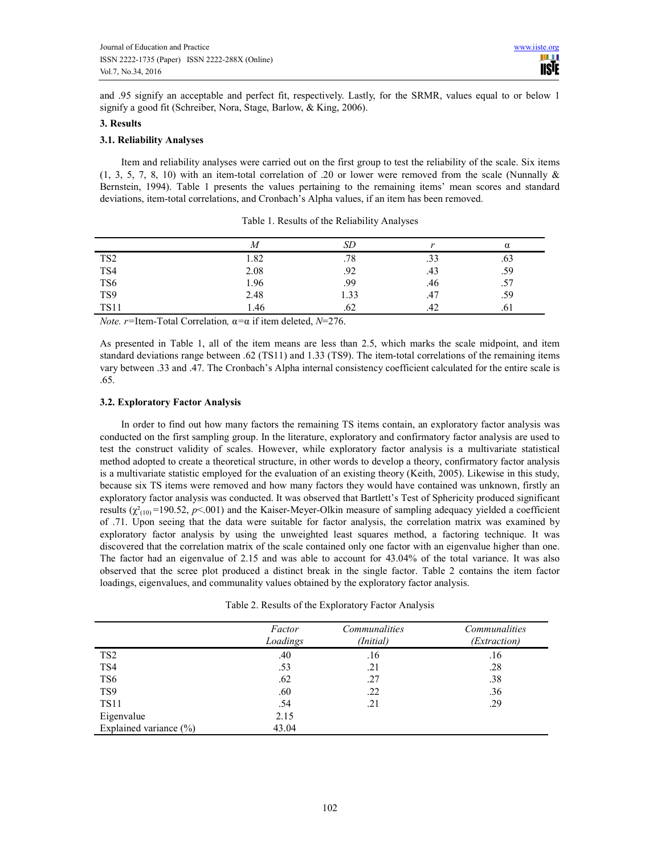and .95 signify an acceptable and perfect fit, respectively. Lastly, for the SRMR, values equal to or below 1 signify a good fit (Schreiber, Nora, Stage, Barlow, & King, 2006).

# 3. Results

# 3.1. Reliability Analyses

Item and reliability analyses were carried out on the first group to test the reliability of the scale. Six items (1, 3, 5, 7, 8, 10) with an item-total correlation of .20 or lower were removed from the scale (Nunnally & Bernstein, 1994). Table 1 presents the values pertaining to the remaining items' mean scores and standard deviations, item-total correlations, and Cronbach's Alpha values, if an item has been removed.

|                 | M    | SD   |     | α   |
|-----------------|------|------|-----|-----|
| TS <sub>2</sub> | 1.82 | .78  | .33 | .63 |
| TS4             | 2.08 | .92  | .43 | .59 |
| TS <sub>6</sub> | 1.96 | .99  | .46 | .57 |
| TS9             | 2.48 | 1.33 | .47 | .59 |
| <b>TS11</b>     | 1.46 | .62  | .42 | .61 |

Table 1. Results of the Reliability Analyses

Note. r=Item-Total Correlation,  $α = α$  if item deleted,  $N=276$ .

As presented in Table 1, all of the item means are less than 2.5, which marks the scale midpoint, and item standard deviations range between .62 (TS11) and 1.33 (TS9). The item-total correlations of the remaining items vary between .33 and .47. The Cronbach's Alpha internal consistency coefficient calculated for the entire scale is .65.

# 3.2. Exploratory Factor Analysis

In order to find out how many factors the remaining TS items contain, an exploratory factor analysis was conducted on the first sampling group. In the literature, exploratory and confirmatory factor analysis are used to test the construct validity of scales. However, while exploratory factor analysis is a multivariate statistical method adopted to create a theoretical structure, in other words to develop a theory, confirmatory factor analysis is a multivariate statistic employed for the evaluation of an existing theory (Keith, 2005). Likewise in this study, because six TS items were removed and how many factors they would have contained was unknown, firstly an exploratory factor analysis was conducted. It was observed that Bartlett's Test of Sphericity produced significant results  $(\chi^2_{(10)}$ =190.52, p<.001) and the Kaiser-Meyer-Olkin measure of sampling adequacy yielded a coefficient of .71. Upon seeing that the data were suitable for factor analysis, the correlation matrix was examined by exploratory factor analysis by using the unweighted least squares method, a factoring technique. It was discovered that the correlation matrix of the scale contained only one factor with an eigenvalue higher than one. The factor had an eigenvalue of 2.15 and was able to account for 43.04% of the total variance. It was also observed that the scree plot produced a distinct break in the single factor. Table 2 contains the item factor loadings, eigenvalues, and communality values obtained by the exploratory factor analysis.

Table 2. Results of the Exploratory Factor Analysis

|                        | Factor<br>Loadings | Communalities<br>(Initial) | Communalities<br><i>(Extraction)</i> |
|------------------------|--------------------|----------------------------|--------------------------------------|
| TS <sub>2</sub>        | .40                | .16                        | .16                                  |
| TS4                    | .53                | .21                        | .28                                  |
| TS <sub>6</sub>        | .62                | .27                        | .38                                  |
| TS <sub>9</sub>        | .60                | .22                        | .36                                  |
| <b>TS11</b>            | .54                | .21                        | .29                                  |
| Eigenvalue             | 2.15               |                            |                                      |
| Explained variance (%) | 43.04              |                            |                                      |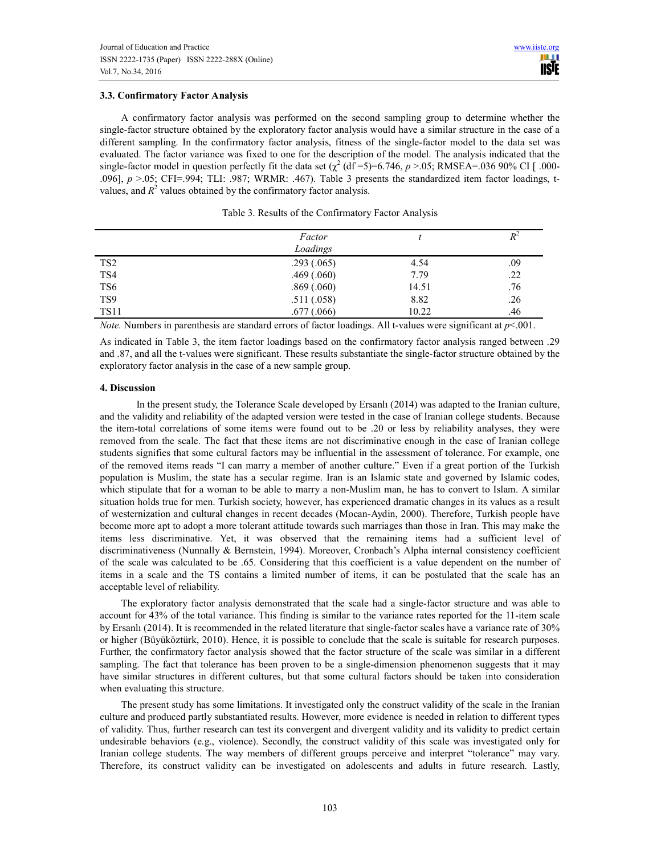# 3.3. Confirmatory Factor Analysis

A confirmatory factor analysis was performed on the second sampling group to determine whether the single-factor structure obtained by the exploratory factor analysis would have a similar structure in the case of a different sampling. In the confirmatory factor analysis, fitness of the single-factor model to the data set was evaluated. The factor variance was fixed to one for the description of the model. The analysis indicated that the single-factor model in question perfectly fit the data set  $\chi^2$  (df =5)=6.746, p >.05; RMSEA=.036 90% CI [ .000-.096], p >.05; CFI=.994; TLI: .987; WRMR: .467). Table 3 presents the standardized item factor loadings, tvalues, and  $R^2$  values obtained by the confirmatory factor analysis.

|                 | Factor<br>Loadings |       | $R^2$ |
|-----------------|--------------------|-------|-------|
|                 |                    |       |       |
| TS <sub>2</sub> | .293(.065)         | 4.54  | .09   |
| TS4             | .469(.060)         | 7.79  | .22   |
| TS <sub>6</sub> | .869(.060)         | 14.51 | .76   |
| TS <sub>9</sub> | .511(.058)         | 8.82  | .26   |
| <b>TS11</b>     | .677(.066)         | 10.22 | .46   |

Table 3. Results of the Confirmatory Factor Analysis

*Note.* Numbers in parenthesis are standard errors of factor loadings. All t-values were significant at  $p$  <.001.

As indicated in Table 3, the item factor loadings based on the confirmatory factor analysis ranged between .29 and .87, and all the t-values were significant. These results substantiate the single-factor structure obtained by the exploratory factor analysis in the case of a new sample group.

# 4. Discussion

 In the present study, the Tolerance Scale developed by Ersanlı (2014) was adapted to the Iranian culture, and the validity and reliability of the adapted version were tested in the case of Iranian college students. Because the item-total correlations of some items were found out to be .20 or less by reliability analyses, they were removed from the scale. The fact that these items are not discriminative enough in the case of Iranian college students signifies that some cultural factors may be influential in the assessment of tolerance. For example, one of the removed items reads "I can marry a member of another culture." Even if a great portion of the Turkish population is Muslim, the state has a secular regime. Iran is an Islamic state and governed by Islamic codes, which stipulate that for a woman to be able to marry a non-Muslim man, he has to convert to Islam. A similar situation holds true for men. Turkish society, however, has experienced dramatic changes in its values as a result of westernization and cultural changes in recent decades (Mocan-Aydin, 2000). Therefore, Turkish people have become more apt to adopt a more tolerant attitude towards such marriages than those in Iran. This may make the items less discriminative. Yet, it was observed that the remaining items had a sufficient level of discriminativeness (Nunnally & Bernstein, 1994). Moreover, Cronbach's Alpha internal consistency coefficient of the scale was calculated to be .65. Considering that this coefficient is a value dependent on the number of items in a scale and the TS contains a limited number of items, it can be postulated that the scale has an acceptable level of reliability.

The exploratory factor analysis demonstrated that the scale had a single-factor structure and was able to account for 43% of the total variance. This finding is similar to the variance rates reported for the 11-item scale by Ersanlı (2014). It is recommended in the related literature that single-factor scales have a variance rate of 30% or higher (Büyüköztürk, 2010). Hence, it is possible to conclude that the scale is suitable for research purposes. Further, the confirmatory factor analysis showed that the factor structure of the scale was similar in a different sampling. The fact that tolerance has been proven to be a single-dimension phenomenon suggests that it may have similar structures in different cultures, but that some cultural factors should be taken into consideration when evaluating this structure.

The present study has some limitations. It investigated only the construct validity of the scale in the Iranian culture and produced partly substantiated results. However, more evidence is needed in relation to different types of validity. Thus, further research can test its convergent and divergent validity and its validity to predict certain undesirable behaviors (e.g., violence). Secondly, the construct validity of this scale was investigated only for Iranian college students. The way members of different groups perceive and interpret "tolerance" may vary. Therefore, its construct validity can be investigated on adolescents and adults in future research. Lastly,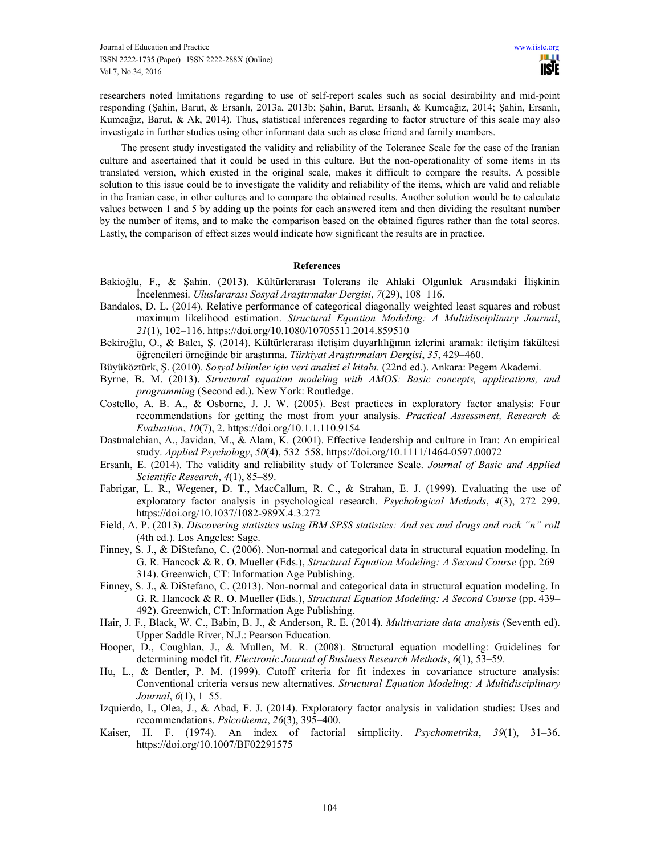researchers noted limitations regarding to use of self-report scales such as social desirability and mid-point responding (Şahin, Barut, & Ersanlı, 2013a, 2013b; Şahin, Barut, Ersanlı, & Kumcağız, 2014; Şahin, Ersanlı, Kumcağız, Barut, & Ak, 2014). Thus, statistical inferences regarding to factor structure of this scale may also investigate in further studies using other informant data such as close friend and family members.

The present study investigated the validity and reliability of the Tolerance Scale for the case of the Iranian culture and ascertained that it could be used in this culture. But the non-operationality of some items in its translated version, which existed in the original scale, makes it difficult to compare the results. A possible solution to this issue could be to investigate the validity and reliability of the items, which are valid and reliable in the Iranian case, in other cultures and to compare the obtained results. Another solution would be to calculate values between 1 and 5 by adding up the points for each answered item and then dividing the resultant number by the number of items, and to make the comparison based on the obtained figures rather than the total scores. Lastly, the comparison of effect sizes would indicate how significant the results are in practice.

# References

- Bakioğlu, F., & Şahin. (2013). Kültürlerarası Tolerans ile Ahlaki Olgunluk Arasındaki İlişkinin İncelenmesi. Uluslararası Sosyal Araştırmalar Dergisi, 7(29), 108–116.
- Bandalos, D. L. (2014). Relative performance of categorical diagonally weighted least squares and robust maximum likelihood estimation. Structural Equation Modeling: A Multidisciplinary Journal, 21(1), 102–116. https://doi.org/10.1080/10705511.2014.859510
- Bekiroğlu, O., & Balcı, Ş. (2014). Kültürlerarası iletişim duyarlılığının izlerini aramak: iletişim fakültesi öğrencileri örneğinde bir araştırma. Türkiyat Araştırmaları Dergisi, 35, 429–460.
- Büyüköztürk, Ş. (2010). Sosyal bilimler için veri analizi el kitabı. (22nd ed.). Ankara: Pegem Akademi.
- Byrne, B. M. (2013). Structural equation modeling with AMOS: Basic concepts, applications, and programming (Second ed.). New York: Routledge.
- Costello, A. B. A., & Osborne, J. J. W. (2005). Best practices in exploratory factor analysis: Four recommendations for getting the most from your analysis. Practical Assessment, Research & Evaluation, 10(7), 2. https://doi.org/10.1.1.110.9154
- Dastmalchian, A., Javidan, M., & Alam, K. (2001). Effective leadership and culture in Iran: An empirical study. Applied Psychology, 50(4), 532–558. https://doi.org/10.1111/1464-0597.00072
- Ersanlı, E. (2014). The validity and reliability study of Tolerance Scale. Journal of Basic and Applied Scientific Research, 4(1), 85–89.
- Fabrigar, L. R., Wegener, D. T., MacCallum, R. C., & Strahan, E. J. (1999). Evaluating the use of exploratory factor analysis in psychological research. Psychological Methods, 4(3), 272–299. https://doi.org/10.1037/1082-989X.4.3.272
- Field, A. P. (2013). Discovering statistics using IBM SPSS statistics: And sex and drugs and rock "n" roll (4th ed.). Los Angeles: Sage.
- Finney, S. J., & DiStefano, C. (2006). Non-normal and categorical data in structural equation modeling. In G. R. Hancock & R. O. Mueller (Eds.), Structural Equation Modeling: A Second Course (pp. 269– 314). Greenwich, CT: Information Age Publishing.
- Finney, S. J., & DiStefano, C. (2013). Non-normal and categorical data in structural equation modeling. In G. R. Hancock & R. O. Mueller (Eds.), Structural Equation Modeling: A Second Course (pp. 439– 492). Greenwich, CT: Information Age Publishing.
- Hair, J. F., Black, W. C., Babin, B. J., & Anderson, R. E. (2014). *Multivariate data analysis* (Seventh ed). Upper Saddle River, N.J.: Pearson Education.
- Hooper, D., Coughlan, J., & Mullen, M. R. (2008). Structural equation modelling: Guidelines for determining model fit. Electronic Journal of Business Research Methods, 6(1), 53–59.
- Hu, L., & Bentler, P. M. (1999). Cutoff criteria for fit indexes in covariance structure analysis: Conventional criteria versus new alternatives. Structural Equation Modeling: A Multidisciplinary Journal, 6(1), 1–55.
- Izquierdo, I., Olea, J., & Abad, F. J. (2014). Exploratory factor analysis in validation studies: Uses and recommendations. Psicothema, 26(3), 395–400.
- Kaiser, H. F. (1974). An index of factorial simplicity. Psychometrika, 39(1), 31–36. https://doi.org/10.1007/BF02291575